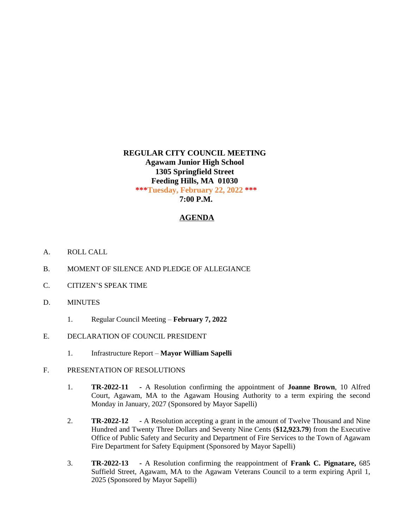## **REGULAR CITY COUNCIL MEETING Agawam Junior High School 1305 Springfield Street Feeding Hills, MA 01030 \*\*\*Tuesday, February 22, 2022 \*\*\* 7:00 P.M.**

## **AGENDA**

- A. ROLL CALL
- B. MOMENT OF SILENCE AND PLEDGE OF ALLEGIANCE
- C. CITIZEN'S SPEAK TIME
- D. MINUTES
	- 1. Regular Council Meeting **February 7, 2022**
- E. DECLARATION OF COUNCIL PRESIDENT
	- 1. Infrastructure Report **Mayor William Sapelli**
- F. PRESENTATION OF RESOLUTIONS
	- 1. **TR-2022-11 -** A Resolution confirming the appointment of **Joanne Brown**, 10 Alfred Court, Agawam, MA to the Agawam Housing Authority to a term expiring the second Monday in January, 2027 (Sponsored by Mayor Sapelli)
	- 2. **TR-2022-12 -** A Resolution accepting a grant in the amount of Twelve Thousand and Nine Hundred and Twenty Three Dollars and Seventy Nine Cents (**\$12,923.79**) from the Executive Office of Public Safety and Security and Department of Fire Services to the Town of Agawam Fire Department for Safety Equipment (Sponsored by Mayor Sapelli)
	- 3. **TR-2022-13 -** A Resolution confirming the reappointment of **Frank C. Pignatare,** 685 Suffield Street, Agawam, MA to the Agawam Veterans Council to a term expiring April 1, 2025 (Sponsored by Mayor Sapelli)